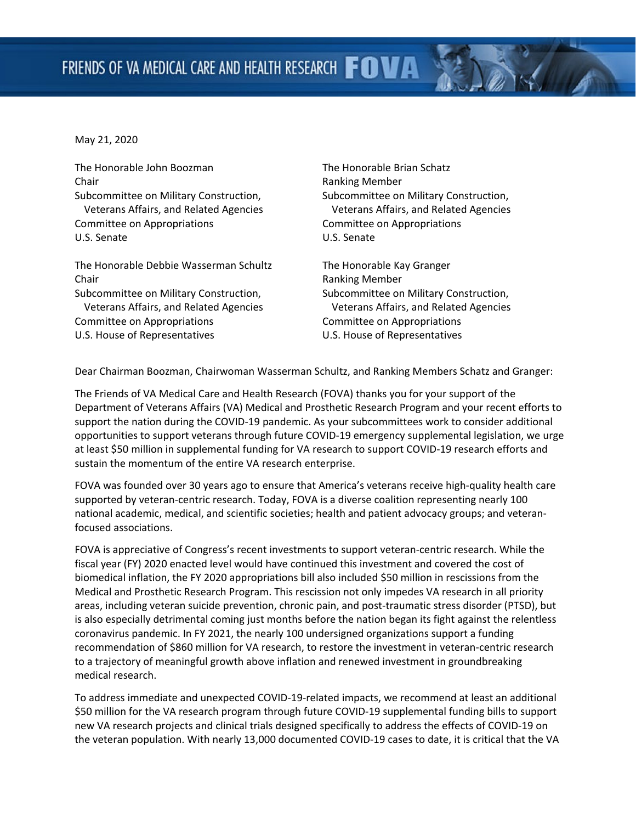May 21, 2020

The Honorable John Boozman Chair Subcommittee on Military Construction, Veterans Affairs, and Related Agencies Committee on Appropriations U.S. Senate

The Honorable Debbie Wasserman Schultz Chair Subcommittee on Military Construction, Veterans Affairs, and Related Agencies Committee on Appropriations U.S. House of Representatives

The Honorable Brian Schatz Ranking Member Subcommittee on Military Construction, Veterans Affairs, and Related Agencies Committee on Appropriations U.S. Senate

The Honorable Kay Granger Ranking Member Subcommittee on Military Construction, Veterans Affairs, and Related Agencies Committee on Appropriations U.S. House of Representatives

Dear Chairman Boozman, Chairwoman Wasserman Schultz, and Ranking Members Schatz and Granger:

The Friends of VA Medical Care and Health Research (FOVA) thanks you for your support of the Department of Veterans Affairs (VA) Medical and Prosthetic Research Program and your recent efforts to support the nation during the COVID-19 pandemic. As your subcommittees work to consider additional opportunities to support veterans through future COVID-19 emergency supplemental legislation, we urge at least \$50 million in supplemental funding for VA research to support COVID-19 research efforts and sustain the momentum of the entire VA research enterprise.

FOVA was founded over 30 years ago to ensure that America's veterans receive high-quality health care supported by veteran-centric research. Today, FOVA is a diverse coalition representing nearly 100 national academic, medical, and scientific societies; health and patient advocacy groups; and veteranfocused associations.

FOVA is appreciative of Congress's recent investments to support veteran-centric research. While the fiscal year (FY) 2020 enacted level would have continued this investment and covered the cost of biomedical inflation, the FY 2020 appropriations bill also included \$50 million in rescissions from the Medical and Prosthetic Research Program. This rescission not only impedes VA research in all priority areas, including veteran suicide prevention, chronic pain, and post-traumatic stress disorder (PTSD), but is also especially detrimental coming just months before the nation began its fight against the relentless coronavirus pandemic. In FY 2021, the nearly 100 undersigned organizations support a funding recommendation of \$860 million for VA research, to restore the investment in veteran-centric research to a trajectory of meaningful growth above inflation and renewed investment in groundbreaking medical research.

To address immediate and unexpected COVID-19-related impacts, we recommend at least an additional \$50 million for the VA research program through future COVID-19 supplemental funding bills to support new VA research projects and clinical trials designed specifically to address the effects of COVID-19 on the veteran population. With nearly 13,000 documented COVID-19 cases to date, it is critical that the VA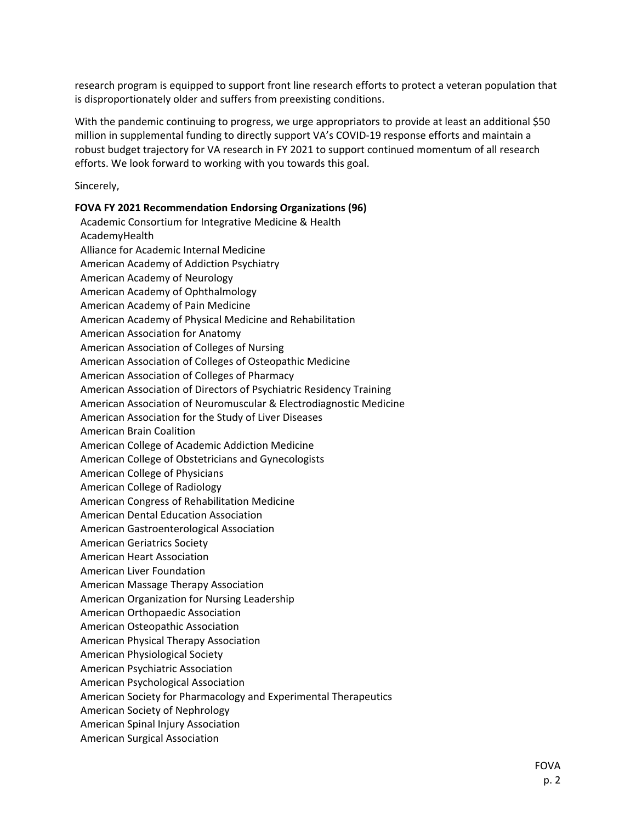research program is equipped to support front line research efforts to protect a veteran population that is disproportionately older and suffers from preexisting conditions.

With the pandemic continuing to progress, we urge appropriators to provide at least an additional \$50 million in supplemental funding to directly support VA's COVID-19 response efforts and maintain a robust budget trajectory for VA research in FY 2021 to support continued momentum of all research efforts. We look forward to working with you towards this goal.

Sincerely,

**FOVA FY 2021 Recommendation Endorsing Organizations (96)** Academic Consortium for Integrative Medicine & Health AcademyHealth Alliance for Academic Internal Medicine American Academy of Addiction Psychiatry American Academy of Neurology American Academy of Ophthalmology American Academy of Pain Medicine American Academy of Physical Medicine and Rehabilitation American Association for Anatomy American Association of Colleges of Nursing American Association of Colleges of Osteopathic Medicine American Association of Colleges of Pharmacy American Association of Directors of Psychiatric Residency Training American Association of Neuromuscular & Electrodiagnostic Medicine American Association for the Study of Liver Diseases American Brain Coalition American College of Academic Addiction Medicine American College of Obstetricians and Gynecologists American College of Physicians American College of Radiology American Congress of Rehabilitation Medicine American Dental Education Association American Gastroenterological Association American Geriatrics Society American Heart Association American Liver Foundation American Massage Therapy Association American Organization for Nursing Leadership American Orthopaedic Association American Osteopathic Association American Physical Therapy Association American Physiological Society American Psychiatric Association American Psychological Association American Society for Pharmacology and Experimental Therapeutics American Society of Nephrology American Spinal Injury Association American Surgical Association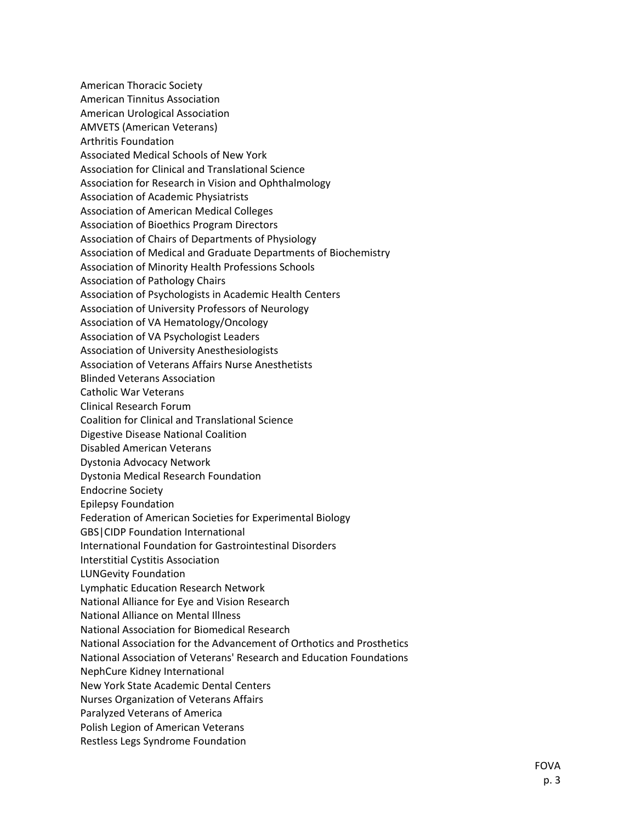American Thoracic Society American Tinnitus Association American Urological Association AMVETS (American Veterans) Arthritis Foundation Associated Medical Schools of New York Association for Clinical and Translational Science Association for Research in Vision and Ophthalmology Association of Academic Physiatrists Association of American Medical Colleges Association of Bioethics Program Directors Association of Chairs of Departments of Physiology Association of Medical and Graduate Departments of Biochemistry Association of Minority Health Professions Schools Association of Pathology Chairs Association of Psychologists in Academic Health Centers Association of University Professors of Neurology Association of VA Hematology/Oncology Association of VA Psychologist Leaders Association of University Anesthesiologists Association of Veterans Affairs Nurse Anesthetists Blinded Veterans Association Catholic War Veterans Clinical Research Forum Coalition for Clinical and Translational Science Digestive Disease National Coalition Disabled American Veterans Dystonia Advocacy Network Dystonia Medical Research Foundation Endocrine Society Epilepsy Foundation Federation of American Societies for Experimental Biology GBS|CIDP Foundation International International Foundation for Gastrointestinal Disorders Interstitial Cystitis Association LUNGevity Foundation Lymphatic Education Research Network National Alliance for Eye and Vision Research National Alliance on Mental Illness National Association for Biomedical Research National Association for the Advancement of Orthotics and Prosthetics National Association of Veterans' Research and Education Foundations NephCure Kidney International New York State Academic Dental Centers Nurses Organization of Veterans Affairs Paralyzed Veterans of America Polish Legion of American Veterans Restless Legs Syndrome Foundation